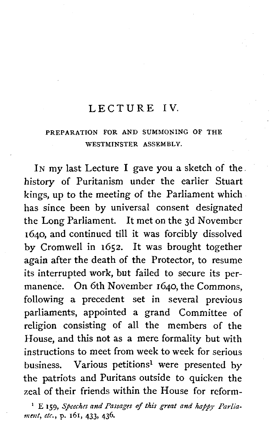#### LECTURE IV

#### PREPARATION FOR AND SUMMONING OF THE WESTMINSTER ASSEMBLY.

IN my last Lecture I gave you a sketch of the. history of Puritanism under the earlier Stuart kings, up to the meeting of the Parliament which has since been by universal consent designated the Long Parliament. It met on the 3d November 1640, and continued till it was forcibly dissolved by Cromwell in 1652. It was brought together again after the death of the Protector, to resume its interrupted work, but failed to secure its permanence. On 6th November 1640, the Commons, following a precedent set in several previous parliaments, appointed a grand Committee of religion consisting of all the members of the House, and this not as a mere formality but with instructions to meet from week to week for serious business. Various petitions<sup>1</sup> were presented by the patriots and Puritans outside to quicken the zeal of their friends within the House for reform-

<sup>1</sup> E **159**, *Speeches and Passages of this great and happy Parliament, etc.,* **p. 161, 433, 436.**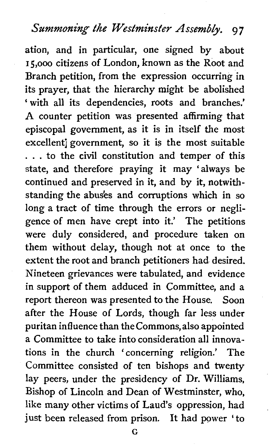## **Summoning the Westminster Assembly. 97**

ation, and in particular, one signed by about 15,000 citizens of London, known as the Root and Branch petition, from the expression occurring in its prayer, that the hierarchy might be abolished ' with all its dependencies, roots and branches.' **A** counter petition was presented affirming that episcopal government, as it is in itself the most excellent] government, so it is the most suitable . . . to the civil constitution and temper of this state, and therefore praying it may 'always be continued and preserved in it, and by it, notwithstanding the abuses and corruptions which in so long a tract of time through the errors or negligence of men have crept into it.' The petitions were duly considered, and procedure taken on them without delay, though not at once to the extent the root and branch petitioners had desired. Nineteen grievances were tabulated, and evidence in support of them adduced in Committee, and a report thereon was presented to the House. Soon after the House of Lords, though far less under puritan influence than the Commons,also appointed a Committee to take into consideration all innovations in the church 'concerning religion.' The Committee consisted of ten bishops and twenty lay peers, under the presidency of Dr. Williams, Bishop of Lincoln and Dean of Westminster, who, like many other victims of Laud's oppression, had just been released from prison. It had power 'to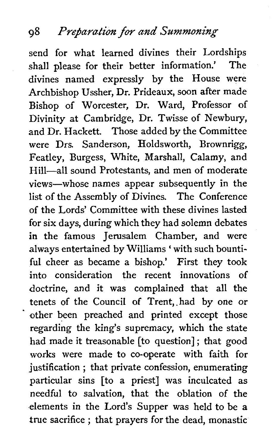## **98** *Pre/ara/ion* **for** *and Summoning*

send for what learned divines their Lordships shall please for their better information.' The divines named expressly by the House were Archbishop Ussher, Dr. Prideaux, soon after made Bishop of Worcester, Dr. Ward, Professor of Divinity at Cambridge, Dr. Twisse of Newbury, and Dr. Hackett. Those added by the Committee were Drs. Sanderson, Holdsworth, Brownrigg, Featley, Burgess, White, Marshall, Calamy, and Hill-all sound Protestants, and men of moderate views-whose names appear subsequently in the list of the Assembly of Divines. The Conference of the Lords' Committee with these divines lasted for six days, during which they had solemn debates in the famous Jerusalem Chamber, and were always entertained by Williams ' with such bountiful cheer as became a bishop.' First they took into consideration the recent innovations of doctrine, and it was complained that all the tenets of the Council of Trent, had by one or other been preached and printed except those regarding the king's supremacy, which the state had made it treasonable [to question] ; that good works were made to co-operate with faith for justification ; that private confession, enumerating particular sins [to a priest] was inculcated as needful to salvation, that the oblation of the elements in the Lord's Supper was held to be a true sacrifice ; that prayers for the dead, monastic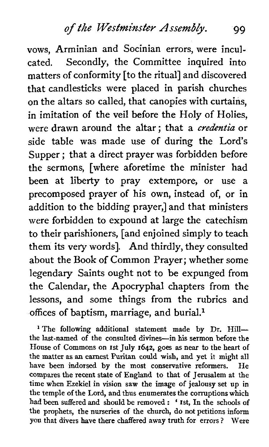vows, Arminian and Socinian errors, were inculcated. Secondly, the Committee inquired into matters of conformity [to the ritual] and discovered that candlesticks were placed in parish churches on the altars so called, that canopies with curtains, in imitation of the veil before the Holy of Holies, were drawn around the altar ; that a *credentia* or side table was made use of during the Lord's Supper; that a direct prayer was forbidden before the sermons, [where aforetime the minister had been at liberty to pray extempore, or use a precomposed prayer of his own, instead of, or in addition to the bidding prayer,] and that ministers were forbidden to expound at large the catechism to their parishioners, [and enjoined simply to teach them its very words]. And thirdly, they consulted about the Book of Common Prayer; whether some legendary Saints ought not to be expunged from the Calendar, the Apocryphal chapters from the lessons, and some things from the rubrics and offices of baptism, marriage, and burial.<sup>1</sup>

<sup>1</sup> The following additional statement made by Dr. Hillthe last-named of the consulted divines-in his sermon before the House of Commons on 1st July 1642, goes as near to the heart of the matter as an earnest Puritan could wish, and yet it might all have been indorsed by the most conservative reformers. He compares the recent state of England to that of Jerusalem at the time when Ezekiel in vision saw the image of jealousy set up in the temple of the Lord, and thus enumerates the corruptions which had been suffered and should be removed : ' Ist, In the schools of the prophets, the nurseries of the church, do not petitions inform you that divers have there chaffered away truth for errors ? Were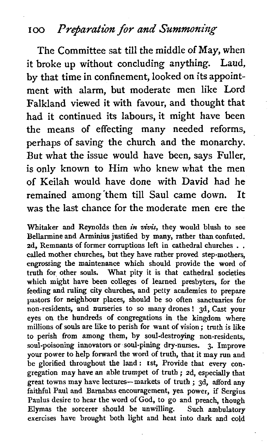#### 100 Preparation for and Summoning

The Committee sat till the middle of May, when it broke up without concluding anything. Laud, by that time in confinement, looked on its appointment with alarm, but moderate men like Lord Falkland viewed it with favour, and thought that had it continued its labours, it might have been the means of effecting many needed reforms, perhaps of saving the church and the monarchy. But what the issue would have been, says Fuller, is only known to Him who knew what the men of Keilah would have done with David had he remained among'them till Saul came down. It was the last chance for the moderate men ere the

Whitaker and Reynolds then in vivis, they would blush to see Bellarmine and Arminius justified by many, rather than confuted.<br>2d. Remnants of former corruptions left in cathedral churches... called mother churches, but they have rather proved step-mothers. engrossing the maintenance which should provide the word of truth for other souls. What pity it is that cathedral societies which might have been colleges of learned presbyters, for the feeding and ruling city churches, and petty academies to prepare pastors for neighbour places, should be so often sanctuaries for non-residents, and nurseries to so many drones ! 3d, Cast your eyes on the hundreds of congregations in the kingdom where millions of souls are like to perish for want of vision; truth is like to perish from among them, by soul-destroying non-residents, soul-poisoning innovators or soul-pining dry-nurses. 3. Improve your power to help forward the word of truth, that it may run and be glorified throughout the land: 1st, Provide that every conbe glorified throughout the land: 1st, Provide that every congregation may have an able trumpet of truth; 2d, especially that gregation may have an able trumpet of truth; 2d, especially that<br>great towns may have lectures—markets of truth; 3d, afford any faithful Paul and Bamabas encouragement, yea power, if Sergius Paulus desire to hear the word of God, to go and preach, though Elymas the sorcerer should be unwilling. Such ambulatory exercises have brought both light and heat into dark and cold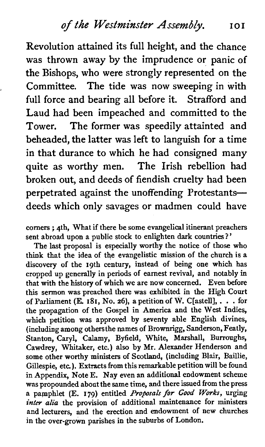Revolution attained its full height, and the chance was thrown away by the imprudence or panic of the Bishops, who were strongly represented on the , Committee. The tide was now sweeping in with full force and bearing all before it. Strafford and Laud had been impeached and committed to the Tower. The former was speedily attainted and beheaded, the latter was left to languish for a time in that durance to which he had consigned many quite as worthy men. The Irish rebellion had broken out, and deeds of fiendish cruelty had been perpetrated against the unoffending Protestantsdeeds which only savages or madmen could have

corners ; 4th, What if there be some evangelical itinerant preachers sent abroad upon a public stock to enlighten dark countries?'

The last proposal is especially worthy the notice of those who think that the idea of the evangelistic mission of the church is a discovery of the 19th century, instead of being one which has cropped up generally in periods of earnest revival, and notably in that with the history of which we are now concerned. Even before this sermon was preached there was exhibited in the High Court of Parliament (E. 181, No. **26),** a petition of W. C[astell], . . . for the propagation of the Gospel in America and the West Indies, which petition was approved by seventy able English divines, (including among othersthe names of Brownrigg, Sanderson, Featly, Stanton, Caryl, Calamy, Byfield, White, Marshall, Burroughs, Cawdrey, Whitaker, etc.) also by Mr. Alexander Henderson and some other worthy ministers of Scotland, (including Blair, Baillie, Gillespie, etc.). Extracts from this remarkable petition will be found in Appendix, Note E. Nay even an additional endowment scheme was propounded about the same time, and there issued from the press a pamphlet (E. 179) entitled *Proposals/or Good Works,* urging **inter** *alia* the provision of additional maintenance for ministers and lecturers, and the erection and endowment of new churches in the over-grown parishes in the suburbs of London.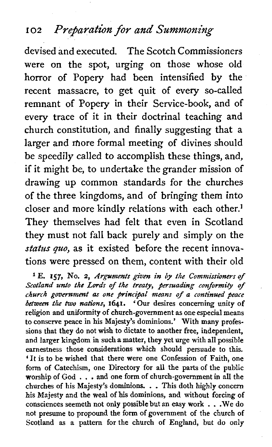## **<sup>102</sup>***Prefaration for and Summoning*

devised and executed. The Scotch Commissioners were on the spot, urging on those whose old horror of Popery had been intensified by the recent massacre, to get quit of every so-called remnant of Popery in their Service-book, and of every trace of it in their doctrinal teaching and church constitution, and finally suggesting that a larger and more formal meeting of divines should be speedily called to accomplish these things, and, if it might be, to undertake the grander mission of drawing up common standards for the churches of the three kingdoms, and of bringing them into closer and more kindly relations with each other.] They themselves had felt that even in Scotland they must not fall back purely and simply on the **status quo,** as it existed before the recent innovations were pressed on them, content with their old

E. **157,** No. 2, *Arguments given in by the Commissioners of Scotland unto the* **Lords** *of the treaty, /ersuading conformity of church government as one principal means of a continued peace between the two nations,* **1641.** 'Our desires concerning unity of religion and uniformity of church-government as one especial means to conserve peace in his Majesty's dominions.' With many professions that they do not wish to dictate to another free, independent, and larger kingdom in such a matter, they yet urge with all possible earnestness those considerations which should persuade to this. 'It is to be wished that there were one Confession of Faith, one form of Catechism, one Directory for all the parts of the public worship of God . . . **and** one form of church-government in all the churches of his Majesty's dominions. . . This doth highly concern his Majesty and the weal of **his** dominions, and without forcing of consciences seemeth not only possible but an easy work . . .We do not presume to propound the form of government of the church of Scotland as a pattern for the church of England, but do only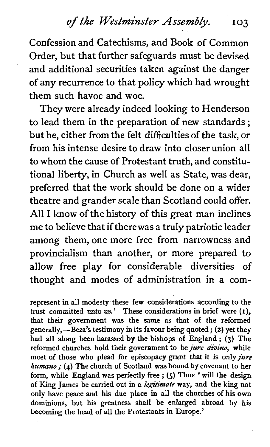Confession and Catechisms, and Book of Common Order, but that further safeguards must be devised and additional securities taken against the danger of any recurrence to that policy which had wrought them such havoc and woe.

They were already indeed looking to Henderson to lead them in the preparation of new standards ; but he, either from the felt difficulties of the task, or from his intense desire to draw into closer union all to whom the cause of Protestant truth, and constitutional liberty, in Church as well as State, was dear, preferred that the work should be done on a wider theatre and grander scale than Scotland could offer. All I know of the history of this great man inclines me to believe that if therewas a truly patriotic leader among them, one more free from narrowness and provincialism than another, or more prepared to allow free play for considerable diversities of thought and modes of administration in a com-

represent in all modesty these few considerations according to the trust committed unto **us.'** These considerations in brief were (I), that their government was the same as that of the reformed generally,—Beza's testimony in its favour being quoted; (2) yet they had all along been harassed by the bishops of England ; (3) The reformed churches hold their government to be *jure divino*, while reformed churches hold their government to be *jure divino*, while most of those who plead for episcopacy grant that it is only *jure* humano *;* (4) The church of Scotland was bound by covenant to her humano; (4) The church of Scotland was bound by covenant to her form, while England was perfectly free ; (5) Thus 'will the design of King James be carried out in a legitimate way, and the king not only have peace and his due place in all the churches of his own dominions, but his greatness shall be enlarged abroad by his becoming the head of all the Protestants in Europe.'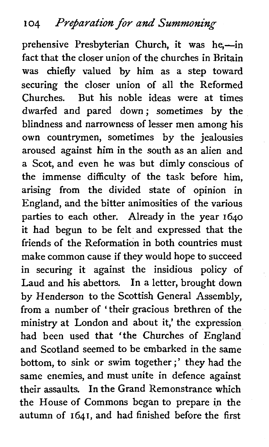prehensive Presbyterian Church, it was he,-in fact that the closer union of the churches in Britain was chiefly valued by him as a step toward securing the closer union of all the Reformed Churches. But his noble ideas were at times dwarfed and pared down; sometimes by the blindness and narrowness of lesser men among his own countrymen, sometimes by the jealousies aroused against him in the south as an alien and a Scot, and even he was but dimly conscious of the immense difficulty of the task before him, arising from the divided state of opinion in England, and the bitter animosities of the various parties to each other. Already in the year 1640 it had begun to be felt and expressed that the friends of the Reformation in both countries must make common cause if they would hope to succeed in securing it against the insidious policy of Laud and his abettors. In a letter, brought down by Henderson to the Scottish General Assembly, from a number of 'their gracious brethren of the ministry at London and about it,' the expression had been used that 'the Churches of England and Scotland seemed to be embarked in the same bottom, to sink or swim together ;' they had the same enemies, and must unite in defence against their assaults. In the Grand Remonstrance which the House of Commons began to prepare in the autumn of **1641,** and had finished before the first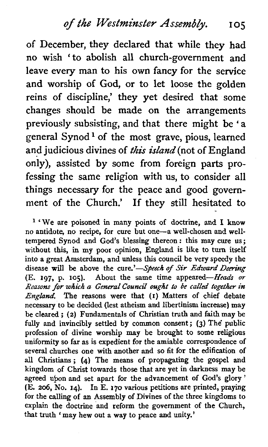of December, they declared that while they had no wish 'to abolish all church-government and leave every man to his own fancy for the service and worship of God, or to let loose the golden reins of discipline,' they yet desired that some changes should be made on the arrangements previously subsisting, and that there might be ' <sup>a</sup> general Synod<sup>1</sup> of the most grave, pious, learned and judicious divines of this island (not of England only), assisted by some from foreign parts professing the same religion with us, to consider all things necessary for the peace and good government of the Church.' If they still hesitated to

**l** 'We are poisoned in many points of doctrine, and I know no antidote, no recipe, for cure but one-a well-chosen and welltempered Synod and God's blessing thereon : this may cure us; without this, in my poor opinion, England is like to turn itself into a great Amsterdam, and unless this council be very speedy the disease will be above the cure.'-Speech of Sir Edward Deering (E. 197, p. 105). About the same time appeared-Heads **or**  *Reasons* **for which** *a* General **Coundl** ought to be *called* together in England. The reasons were that (I) Matters of chief debate necessary to be decided (lest atheism and libertinism increase) may be cleared ; (2) Fundamentals of Christian truth and faith may be fully and invincibly settled by common consent; (3) The public profession of divine worship may be brought to some religious uniformity so far as is expedient for the amiable correspondence of several churches one with another and so fit for the edification of all Christians ; (4) The means of propagating the gospel and kingdom of Christ towards those that are yet in darkness may be agreed upon and set apart for the advancement of God's glory ' (E. 206, No. 14). In E. 170 various petitions are printed, praying for the calling of an Assembly of Divines of the three kingdoms to explain the doctrine and reform the government of the Church, that truth 'may hew out a way to peace and unity.'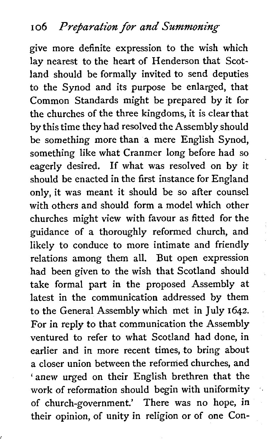give more definite expression to the wish which lay nearest to the heart of Henderson that Scotland should be formally invited to send deputies to the Synod and its purpose be enlarged, that Common Standards might be prepared by it for the churches of the three kingdoms, it is clear that by this time they had resolved the Assembly should be something more than a mere English Synod, something like what Cranmer long before had so eagerly desired. If what was resolved on by it should be enacted in the first instance for England only, it was meant it should be so after counsel with others and should form a model which other churches might view with favour as fitted for the guidance of a thoroughly reformed church, and likely to conduce to more intimate and friendly relations among them all. But open expression had been given to the wish that Scotland should take formal part in the proposed Assembly at latest in the communication addressed by them to the General Assembly which met in July 1642. For in reply to that communication the Assembly ventured to refer to what Scotland had done, in earlier and in more recent times, to bring about a closer union between the reformed churches, and 'anew urged on their English brethren that the work of reformation should begin with uniformity of church-government.' There was no hope, in their opinion, of unity in religion or of one Con-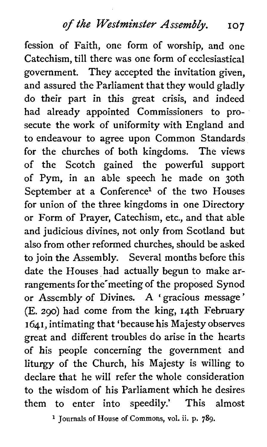fession of Faith, one form of worship, and one Catechism, till there was one form of ecclesiastical government. They accepted the invitation given, and assured the Parliament that they would gladly do their part in this great crisis, and indeed had already appointed Commissioners to prosecute the work of uniformity with England and to endeavour to agree upon Common Standards for the churches of both kingdoms. The views of the Scotch gained the powerful support of Pym, in an able speech he made on 30th September at a Conference<sup>1</sup> of the two Houses for union of the three kingdoms in one Directory or Form of Prayer, Catechism, etc., and that able and judicious divines, not only from Scotland but also from other reformed churches, should be asked to join the Assembly. Several months before this date the Houses had actually begun to make arrangements for the'meeting of the proposed Synod or Assembly of Divines. **A** ' gracious message ' (E. 290) had come from the king, 14th February 1641, intimating that 'because his Majesty observes great and different troubles do arise in the hearts of his people concerning the government and liturgy of the Church, his Majesty is willing to declare that he will refer the whole consideration to the wisdom of his Parliament which he desires them to enter into speedily.' This almost

**Journals of House of Commons, vol. ii. p. 789.**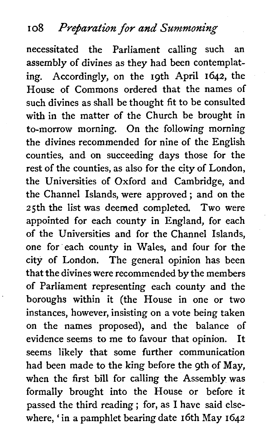necessitated the Parliament calling such an assembly of divines as they had been contemplating. Accordingly, on the 19th April 1642, the House of Commons ordered that the names of such divines as shall be thought fit to be consulted with in the matter of the Church be brought in to-morrow morning. On the following morning the divines recommended for nine of the English counties, and on succeeding days those for the rest of the counties, as also for the city of London, the Universities of Oxford and Cambridge, and the Channel Islands, were approved ; and on the 25th the list was deemed completed. Two were appointed for each county in England, for each of the Universities and for the Channel Islands, one for each county in Wales, and four for the city of London. The general opinion has been that the divines were recommended by the members of Parliament representing each county and the boroughs within it (the House in one or two instances, however, insisting on a vote being taken on the names proposed), and the balance of evidence seems to me to favour that opinion. It seems likely that some further communication had been made to the king before the 9th of May, when the first bill for calling the Assembly was formally brought into the House or before it passed the third reading ; for, as I have said elsewhere, ' in a pamphlet bearing date 16th May 1642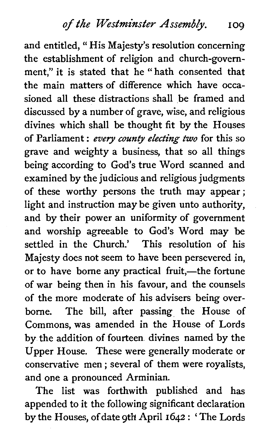and entitled, "His Majesty's resolution concerning the establishment of religion and church-government," it is stated that he " hath consented that the main matters of difference which have occasioned all these distractions shall be framed and discussed by a number of grave, wise, and religious divines which shall be thought fit by the Houses of Parliament : *every county electing two* for this so grave and weighty a business, that so all things being according to God's true Word scanned and examined by the judicious and religious judgments of these worthy persons the truth may appear; light and instruction may be given unto authority, and by their power an uniformity of government and worship agreeable to God's Word may be settled in the Church.' This resolution of his Majesty does not seem to have been persevered in, or to have borne any practical fruit,—the fortune of war being then in his favour, and the counsels of the more moderate of his advisers being overborne. The bill, after passing the House of Commons, was amended in the House of Lords by the addition of fourteen divines named by the Upper House. These were generally moderate or conservative men ; several of them were royalists, and one a pronounced Arminian.

The list was forthwith published and has appended to it the following significant declaration by the Houses, of date 9th April 1642 : ' The Lords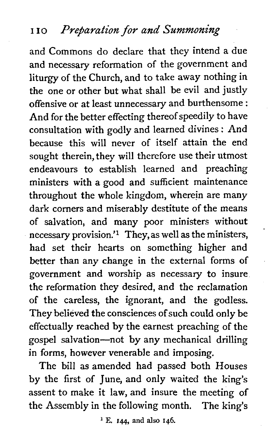and Commons do declare that they intend a due and necessary reformation of the government and liturgy of the Church, and to take away nothing in the one or other but what shall be evil and justly offensive or at least unnecessary and burthensome : And for the better effecting thereof speedily to have consultation with godly and learned divines : And because this will never of itself attain the end sought therein, they will therefore use their utmost endeavours to establish learned and preaching ministers with a good and sufficient maintenance throughout the whole kingdom, wherein are many dark corners and miserably destitute of the means of salvation, and many poor ministers without necessary provision.'l They, as well as the ministers, had set their hearts on something higher and better than any change in the external forms of government and worship as necessary to insure the reformation they desired, and the reclamation of the careless, the ignorant, and the godless. They believed the consciences of such could only be effectually reached by the earnest preaching of the gospel salvation-not by any mechanical drilling in forms, however venerable and imposing.

The bill as amended had passed both Houses by the first of June, and only waited the king's assent to make it law, and insure the meeting of the Assembly in the following month. The king's

**l** E. **144, and also 146.**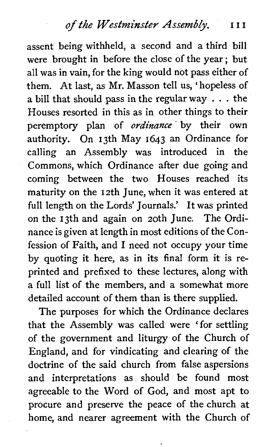assent being withheld, a second and a third bill were brought in before the close of the year; but all was in vain, for the king would not pass either of them. At last, as Mr. Masson tell us, 'hopeless of a bill that should pass in the regular way . . . the Houses resorted in this as in other things to their peremptory plan of **ordinance** by their own authority. On 13th May 1643 an Ordinance for calling an Assembly was introduced in the Commons, which Ordinance after due going and coming between the two Houses reached its maturity on the 12th June, when it was entered at full length on the Lords' Journals.' It was printed on the 13th and again on 20th June. The Ordinance is given at length in most editions of the Confession of Faith, and I need not occupy your time by quoting it here, as in its final form it is reprinted and prefixed to these lectures, along with a full list of the members, and a somewhat more detailed account of them than is there supplied.

The purposes for which the Ordinance declares that the Assembly was called were 'for settling of the government and liturgy of the Church of England, and for vindicating and clearing of the doctrine of the said church from false aspersions and interpretations as should be found most agreeable to the Word of God, and most apt to procure and preserve the peace of the church at home, and nearer agreement with the Church of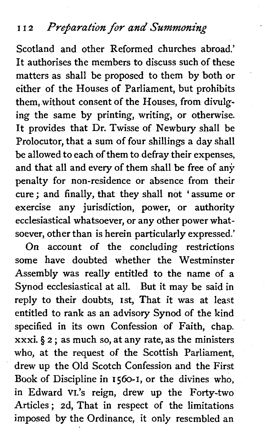### I I 2 *Prejara/ion/or* **and** *Summoning*

Scotland and other Reformed churches abroad.' It authorises the members to discuss such of these matters as shall be proposed to them by both or either of the Houses of Parliament, but prohibits them, without consent of the Houses, from divulging the same by printing, writing, or otherwise. It provides that Dr. Twisse of Newbury shall be Prolocutor, that a sum of four shillings a day shall be allowed to each of them to defray their expenses, and that all and every of them shall be free of any penalty for non-residence or absence from their cure ; and finally, that they shall not 'assume or exercise any jurisdiction, power, or authority ecclesiastical whatsoever, or any other power whatsoever, other than is herein particularly expressed.'

On account of the concluding restrictions some have doubted whether the Westminster Assembly was really entitled to the name of a Synod ecclesiastical at all. But it may be said in reply to their doubts, 1st, That it was at least entitled to rank as an advisory Synod of the kind specified in its own Confession of Faith, chap.  $xxxi. § 2$ ; as much so, at any rate, as the ministers who, at the request of the Scottish Parliament, drew up the Old Scotch Confession and the First Book of Discipline in **1560-1,** or the divines who, in Edward VI.'s reign, drew up the Forty-two Articles ; 2d, That in respect of the limitations imposed by the Ordinance, it only resembled an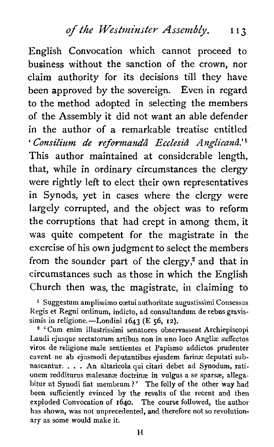English Convocation which cannot proceed to business without the sanction of the crown, nor claim authority for its decisions till they have been approved by the sovereign. Even in regard to the method adopted in selecting the members of the Assembly it did not want an able defender in the author of a remarkable treatise entitled ' Consilium de reformandâ Ecclesiâ Anglicanâ.<sup>'1</sup> This author maintained at considerable length, that, while in ordinary circumstances the clergy were rightly left to elect their own representatives in Synods, yet in cases where the clergy were largely corrupted, and the object was to reform the corruptions that had crept in among them, it was quite competent for the magistrate in the exercise of his own judgment to select the members from the sounder part of the clergy, $2$  and that in circumstances such as those in which the English Church then was, the magistrate, in claiming to

<sup>1</sup> Suggestum amplissimo cœtui authoritate augustissimi Consessus Regis et Regni ordinum, indicto, ad consultandum de rebus gravissimis in religione.-Londini **1643** (E 56, 12).

'Cum enim illustrissimi senatores observassent Archiepiscopi Laudi ejusque sectatorum artibus non in uno loco Anglise suffectos viros de religione male sentientes et Papismo addictos prudenter cavent ne ab ejusmodi deputantibus ejusdem farinæ deputati subnascantur. . . . An altaricola qui citari debet ad Synodum, rationem redditurus malesanæ doctrinæ in vulgus a se sparsæ, allegabitur ut Synodi fiat membrum ?' The folly of the other way had been sufficiently evinced by the results of the recent and then exploded Convocation of **1640.** The course followed, the author has shown, was not unprecedented, and therefore not so revolutionary as some would make it.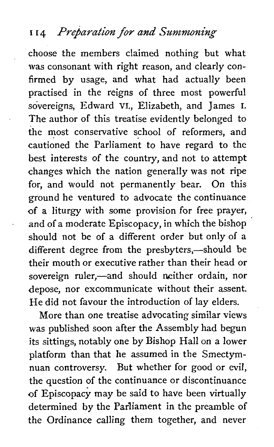#### **I 14** *Preparation for* **and** *Summoning*

choose the members claimed nothing but what was consonant with right reason, and clearly confirmed by usage, and what had actually been practised in the reigns of three most powerful sovereigns, Edward VI,, Elizabeth, and James I. The author of this treatise evidently belonged to the most conservative school of reformers, and cautioned the parliament to have regard to the best interests of the country, and not to attempt changes which the nation generally was not ripe for, and would not permanently bear. On this ground he ventured to advocate the continuance of a liturgy with some provision for free prayer, and of a moderate Episcopacy, in which the bishop should not be of a different order but only of a different degree from the presbyters,—should be their mouth or executive rather than their head or sovereign ruler,—and should neither ordain, nor depose, nor excommunicate without their assent. He did not favour the introduction of lay elders.

More than one treatise advocating similar views was published soon after the Assembly had begun its sittings, notably one by Bishop Hall on a lower platform than that he assumed in the Smectymnuan controversy. But whether for good or evil, the question of the continuance or discontinuance of Episcopacy may be said to have been virtually determined by the Parliament in the preamble of the Ordinance calling them together, and never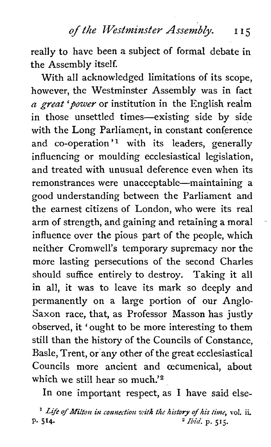really to have been a subject of formal debate in the Assembly itself.

With all acknowledged limitations of its scope, however, the Westminster Assembly was in fact *a great 'power* or institution in the English realm in those unsettled times-existing side by side with the Long Parliament, in constant conference and co-operation'<sup>1</sup> with its leaders, generally influencing or moulding ecclesiastical legislation, and treated with unusual deference even when its remonstrances were unacceptable—maintaining a good understanding between the Parliament and the earnest citizens of London, who were its real arm of strength, and gaining and retaining a moral influence over the pious part of the people, which neither Cromwell's temporary supremacy nor the more lasting persecutions of the second Charles should suffice entirely to destroy. Taking it all in all, it was to leave its mark so deeply and permanently on a large portion of our Anglo-Saxon race, that, as Professor Masson has justly observed, it 'ought to be more interesting to them still than the history of the Councils of Constance, Basle, Trent, or any other of the great ecclesiastical Councils more ancient and oecumenical, about which we still hear so much.'<sup>2</sup>

In one important respect, as I have said else-

<sup>1</sup> Life of Milton in connection with the history of his time, vol. ii.<br>
<sup>2</sup> Ibid. p. 515. P. **514.** *Zbia.* **p. 515.**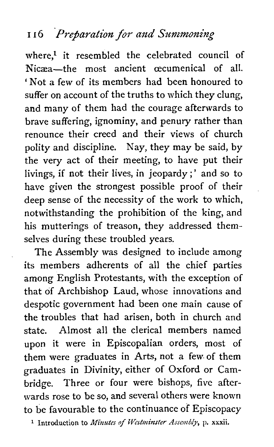# 116 Preparation for and Summoning

where.<sup>1</sup> it resembled the celebrated council of Nicæa-the most ancient oecumenical of all. ' Not a few of its members had been honoured to suffer on account of the truths to which they clung, and many of them had the courage afterwards to brave suffering, ignominy, and penury rather than renounce their creed and their views of church polity and discipline. Nay, they may be said, by the very act of their meeting, to have put their livings, if not their lives, in jeopardy;' and so to have given the strongest possible proof of their deep sense of the necessity of the work to which, notwithstanding the prohibition of the king, and his mutterings of treason, they addressed themselves during these troubled years.

The Assembly was designed to include among its members adherents of all the chief parties among English Protestants, with the exception of that of Archbishop Laud, whose innovations and despotic government had been one main cause of the troubles that had arisen, both in church and state. Almost all the clerical members named upon it were in Episcopalian orders, most of them were graduates in Arts, not a few. of them graduates in Divinity, either of Oxford or Cambridge. Three or four were bishops, five afterwards rose to be so, and several others were known to be favourable to the continuance of Episcopacy

**1 Introduction to Minutes of Westminster Assembly, p. xxxii.**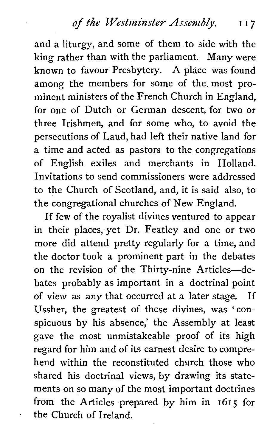and a liturgy, and some of them to side with the king rather than with the parliament. Many were known to favour Presbytery. A place was found among the members for some of the. most prominent ministers of the French Church in England, for one of Dutch or German descent, for two or three Irishmen, and for some who, to avoid the persecutions of Laud, had left their native land for a time and acted as pastors to the congregations of English exiles and merchants in Holland. Invitations to send commissioners were addressed to the Church of Scotland, and, it is said also, to the congregational churches of New England.

If few of the royalist divines ventured to appear in their places, yet Dr. Featley and one or two more did attend pretty regularly for a time, and the doctor took a prominent part in the debates on the revision of the Thirty-nine Articles-debates probably as important in a doctrinal point of view as any that occurred at a later stage. If Ussher, the greatest of these divines, was 'conspicuous by his absence,' the Assembly at least gave the most unmistakeable proof of its high regard for him and of its earnest desire to comprehend within the reconstituted church those who shared his doctrinal views, by drawing its statements on so many of the most important doctrines from the Articles prepared by him in 1615 for the Church of Ireland.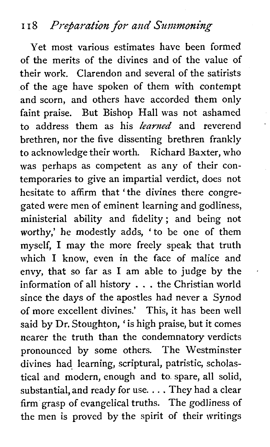## **<sup>I</sup>**I 8 *P1-q5a;-a/ion for* and *6"11~;1moning*

Yet most various estimates have been formed of the merits of the divines and of the value of their work. Clarendon and several of the satirists of the age have spoken of them with contempt and scorn, and others have accorded them only faint praise. But Bishop Hall was not ashamed to address them as his *learned* and reverend brethren, nor the five dissenting brethren frankly to acknowledge their worth. Richard Baxter, who was perhaps as competent as any of their contemporaries to give an impartial verdict, does not hesitate to affirm that 'the divines there congregated were men of eminent learning and godliness, ministerial ability and fidelity ; and being not worthy,' he modestly adds, 'to be one of them myself, I may the more freely speak that truth which I know, even in the face of malice and envy, that so far as I am able to judge by the information of all history . . . the Christian world since the days of the apostles had never a Synod of more excellent divines.' This, it has been well said by Dr. Stoughton, ' is high praise, but it comes nearer the truth than the condemnatory verdicts pronounced by some others. The Westminster divines had learning, scriptural, patristic, scholastical and modern, enough and to. spare, all solid, substantial, and ready for use. . . . They had a clear firm grasp of evangelical truths. The godliness of the men is proved by the spirit of their writings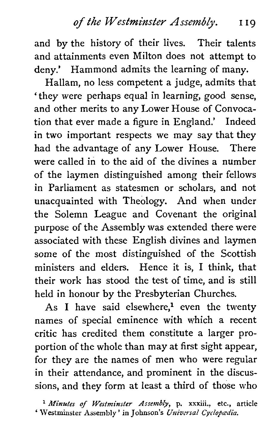and by the history of their lives. Their talents and attainments even Milton does not attempt to deny.' Hammond admits the learning of many.

Hallam, no less competent a judge, admits that 'they were perhaps equal in learning, good sense, and other merits to any Lower House of Convocation that ever made a figure in England.' Indeed in two important respects we may say that they had the advantage of any Lower House. There were called in to the aid of the divines **a** number of the laymen distinguished among their fellows in Parliament as statesmen or scholars, and not unacquainted with Theology. And when under the Solemn League and Covenant the original purpose of the Assembly was extended there were associated with these English divines and laymen some of the most distinguished of the Scottish ministers and elders. Hence it is, I think, that their work has stood the test of time, and is still held in honour by the Presbyterian Churches.

As I have said elsewhere,<sup>1</sup> even the twenty names of special eminence with which a recent critic has credited them constitute a larger proportion of the whole than may at first sight appear, for they are the names of men who were regular in their attendance, and prominent in the discussions, and they form at least a third of those who

<sup>1</sup> Minutes of Westminster Assembly, p. xxxiii., etc., article **Westminster Assembly '** in Johnson's *Universal Cyclopædia*.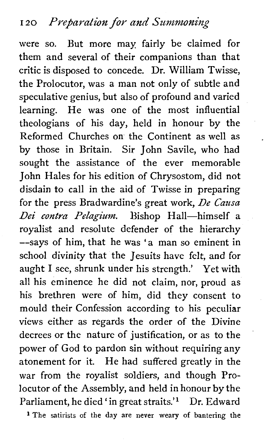were so. But more may fairly be claimed for them and several of their companions than that critic is disposed to concede. Dr. William Twisse, the Prolocutor, was a man not only of subtle and speculative genius, but also of profound and varied learning. He was one of the most influential theologians of his day, held in honour by the Reformed Churches on the Continent as well as by those in Britain. Sir John Savile, who had sought the assistance of the ever memorable John Hales for his edition of Chrysostom, did not disdain to call in the aid of Twisse in preparing for the press Bradwardine's great work, *De Causa*  Dei contra Pelagium. Bishop Hall-himself a royalist and resolute defender of the hierarchy --says of him, that he was 'a man so eminent in school divinity that the Jesuits have felt, and for aught I see, shrunk under his strength.' Yet with all his eminence he did not claim, nor, proud as his brethren were of him, did they consent to mould their Confession according to his peculiar views either as regards the order of the Divine decrees or the nature of justification, or as to the power of God to pardon sin without requiring any atonement for it. He had suffered greatly in the war from the royalist soldiers, and though Prolocutor of the Assembly, and held in honour by the Parliament, he died 'in great straits.'<sup>1</sup> Dr. Edward

**l** The satirists of the **day** are never weary of bantering the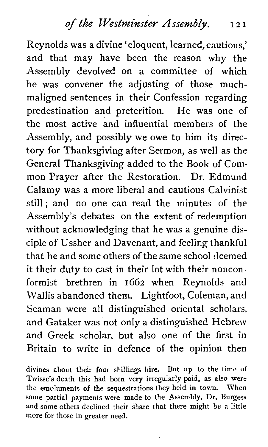Reynolds was a divine 'eloquent, learned, cautious,' and that may have been the reason why the Assembly devolved on a committee of which he was convener the adjusting of those muchmaligned sentences in their Confession regarding predestination and preterition. He was one of the most active and influential members of the Assembly, and possibly we owe to him its directory for Thanksgiving after Sermon, as well as the General Thanksgiving added to the Book of Conimon Prayer after the Restoration. Dr. Edmund Calamy was a more liberal and cautious Calvinist still; and no one can read the minutes of the Assembly's debates on the extent of redemption without acknowledging that he was a genuine disciple of Ussher and Davenant, and feeling thankful that he and some others of the same school deemed it their duty to cast in their lot with their nonconformist brethren in 1662 when Reynolds and Wallis abandoned them. Lightfoot, Coleman, and Seaman were all distinguished oriental scholars, and Gataker was not only a distinguished Hebrew and Greek scholar, but also one of the first in Britain to write in defence of the opinion then

divines about their four shillings hire. But up to the time of Twisse's death this had been very irregularly paid, as also were the emoluments of the sequestrations they held in town. When some partial payments were made to the Assembly, Dr. Burgess and some others declined their share that there might be a little more for those in greater need.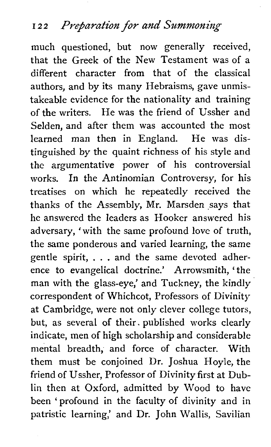much questioned, but now generally received, that the Greek of the New Testament was of a different character from that of the classical authors, and by its many Hebraisms, gave unmistakeable evidence for the nationality and training of the writers. He was the friend of Ussher and Selden, and after them was accounted the most learned man then in England. He was distinguished by the quaint richness of his style and the argumentative power of his controversial works. In the Antinomian Controversy, for his treatises on which he repeatedly received the thanks of the Assembly, Mr. Marsden says that he answered the leaders as Hooker answered his adversary, 'with the same profound love of truth, the same ponderous and varied learning, the same gentle spirit, . . . and the same devoted adherence to evangelical doctrine.' Arrowsmith, ' the man with the glass-eye,' and Tuckney, the kindly correspondent of Whichcot, Professors of Divinity at Cambridge, were not only clever college tutors, but, as several of their. published works clearly indicate, men of high scholarship and considerable mental breadth, and force of character. With them must be conjoined Dr. Joshua Hoyle, the friend of Ussher, Professor of Divinity first at Dublin then at Oxford, admitted by Wood to have been 'profound in the faculty of divinity and in patristic learning,' and Dr. John Wallis, Savilian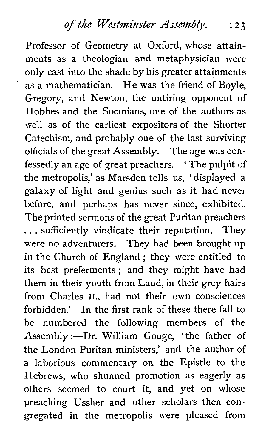Professor of Geometry at Oxford, whose attainments as a theologian and metaphysician were only cast into the shade by his greater attainments as a mathematician. He was the friend of Boyle, Gregory, and Newton, the untiring opponent of Hobbes and the Socinians, one of the authors as well as of the earliest expositors of the Shorter Catechism, and probably one of the last surviving officials of the great Assembly. The age was confessedly an age of great preachers. ' The pulpit of the metropolis,' as Marsden tells us, ' displayed a galaxy of light and genius such as it had never before, and perhaps has never since, exhibited. The printed sermons of the great Puritan preachers . . . sufficiently vindicate their reputation. They were'no adventurers. They had been brought up in the Church of England ; they were entitled to its best preferments; and they might have had them in their youth from Laud, in their grey hairs from Charles II., had not their own consciences forbidden.' In the first rank of these there fall to be numbered the following members of the Assembly :- Dr. William Gouge, 'the father of the London Puritan ministers,' and the author of a laborious commentary on the Epistle to the Hebrews, who shunned promotion as eagerly as others seemed to court it, and yet on whose preaching Ussher and other scholars then congregated in the metropolis were pleased from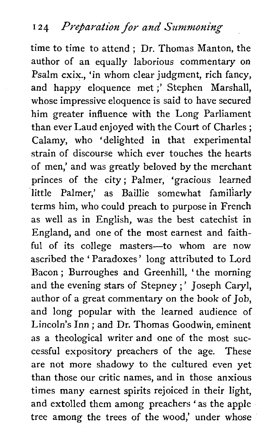time to time to attend ; Dr. Thomas Manton, the author of an equally laborious commentary on Psalm cxix., 'in whom clear judgment, rich fancy, and happy eloquence met ;' Stephen Marshall, whose impressive eloquence is said to have secured him greater influence with the Long Parliament than ever Laud enjoyed with the Court of Charles ; Calamy, who 'delighted in that experimental strain of discourse which ever touches the hearts of men,' and was greatly beloved by the merchant princes of the city; Palmer, 'gracious learned little Palmer,' as Baillie somewhat familiarly terms him, who could preach to purpose in French as well as in English, was the best catechist in England, and one of the most earnest and faithful of its college masters-to whom are now ascribed the ' Paradoxes' long attributed to Lord Bacon ; Burroughes and Greenhill, ' the morning and the evening stars of Stepney ; ' Joseph Caryl, author of a great commentary on the book of Job, and long popular with the learned audience of Lincoln's Inn ; and Dr. Thomas Goodwin, eminent as **a** theological writer and one of the most successful expository preachers of the age. These are not more shadowy to the cultured even yet than those our critic names, and in those anxious times many earnest spirits rejoiced in their light, and extolled them among preachers ' as the apple tree among the trees of the wood,' under whose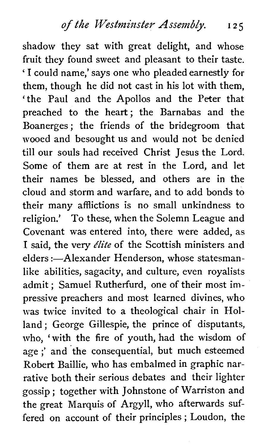shadow they sat with great delight, and whose fruit they found sweet and pleasant to their taste. ' I could name,' says one who pleaded earnestly for them, though he did not cast in his lot with them, 'the Paul and the Apollos and the Peter that preached to the heart; the Barnabas and the Boanerges ; the friends of the bridegroom that wooed and besought us and would not be denied till our souls had received Christ Jesus the Lord. Some of them are at rest in the Lord, and let their names be blessed, and others are in the cloud and storm and warfare, and to add bonds to their many afflictions is no small unkindness to religion.' To these, when the Solemn League and Covenant was entered into, there were added, as I said, the very *élite* of the Scottish ministers and elders :- Alexander Henderson, whose statesmanlike abilities, sagacity, and culture, even royalists admit ; Samuel Rutherfurd, one of their most impressive preachers and most learned divines, who was twice invited to a theological chair in Holland ; George Gillespie, the prince of disputants, who, 'with the fire of youth, had the wisdom of age ;' and the consequential, but much esteemed Robert Baillie, who has embalmed in graphic narrative both their serious debates and their lighter gossip ; together with Johnstone of Warriston and the great Marquis of Argyll, who afterwards suffered on account of their principles ; Loudon, the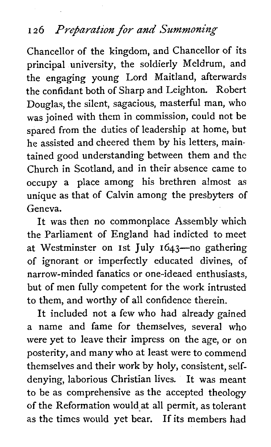## **126** Preparation for and Summoning

Chancellor of the kingdom, and Chancellor of its principal university, the soldierly Meldrum, and the engaging young Lord Maitland, afterwards the confidant both of Sharp and Leighton. Robert Douglas, the silent, sagacious, masterful man, who was joined with them in commission, could not be spared from the duties of leadership at home, but he assisted and cheered them by his letters, maintained good understanding between them and the Church in Scotland, and in their absence came to occupy a place among his brethren almost as unique as that of Calvin among the presbyters of Geneva.

It was then no commonplace Assembly which the Parliament of England had indicted to meet at Westminster on 1st July 1643-no gathering of ignorant or imperfectly educated divines, of narrow-minded fanatics or one-ideaed enthusiasts, but of men fully competent for the work intrusted to them, and worthy of all confidence therein.

It included not a few who had already gained a name and fame for themselves, several who were yet to leave their impress on the age, or on posterity, and many who at least were to commend themselves and their work by holy, consistent, selfdenying, laborious Christian lives. It was meant to be as comprehensive as the accepted theology of the Reformation wouldat all permit, as tolerant as the times would yet bear. If its members had